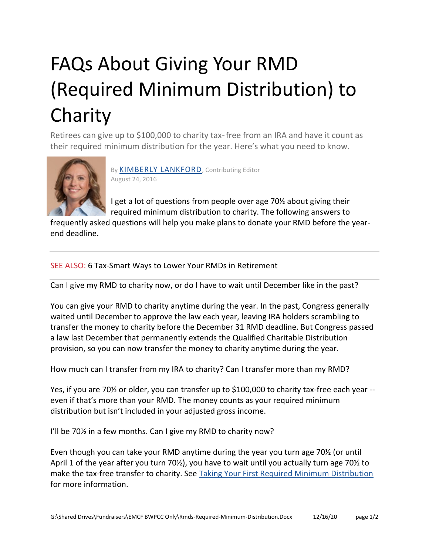## FAQs About Giving Your RMD (Required Minimum Distribution) to Charity

Retirees can give up to \$100,000 to charity tax-free from an IRA and have it count as their required minimum distribution for the year. Here's what you need to know.



By [KIMBERLY LANKFORD](https://www.kiplinger.com/fronts/archive/bios/index.html?bylineID=10), Contributing Editor August 24, 2016

I get a lot of questions from people over age 70½ about giving their required minimum distribution to charity. The following answers to

frequently asked questions will help you make plans to donate your RMD before the yearend deadline.

## SEE ALSO: [6 Tax-Smart Ways to Lower Your RMDs in Retirement](https://www.kiplinger.com/slideshow/retirement/T045-S002-tax-smart-ways-to-lower-your-rmds-in-retirement/index.html)

Can I give my RMD to charity now, or do I have to wait until December like in the past?

You can give your RMD to charity anytime during the year. In the past, Congress generally waited until December to approve the law each year, leaving IRA holders scrambling to transfer the money to charity before the December 31 RMD deadline. But Congress passed a law last December that permanently extends the Qualified Charitable Distribution provision, so you can now transfer the money to charity anytime during the year.

How much can I transfer from my IRA to charity? Can I transfer more than my RMD?

Yes, if you are 70½ or older, you can transfer up to \$100,000 to charity tax-free each year - even if that's more than your RMD. The money counts as your required minimum distribution but isn't included in your adjusted gross income.

I'll be 70% in a few months. Can I give my RMD to charity now?

Even though you can take your RMD anytime during the year you turn age 70½ (or until April 1 of the year after you turn 70½), you have to wait until you actually turn age 70½ to make the tax-free transfer to charity. See [Taking Your First Required Minimum Distribution](https://www.kiplinger.com/article/retirement/T045-C001-S003-your-first-required-minimum-distribution.html) for more information.